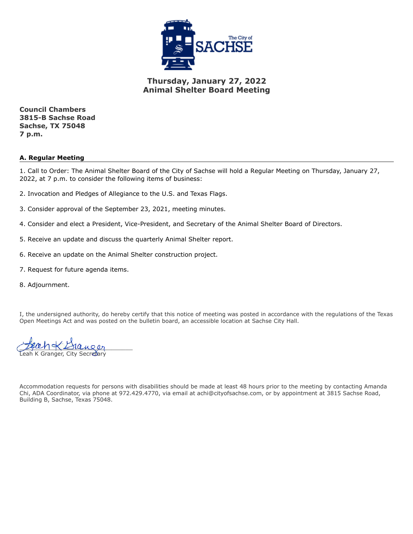

**Thursday, January 27, 2022 Animal Shelter Board Meeting**

**Council Chambers 3815-B Sachse Road Sachse, TX 75048 7 p.m.**

### **A. Regular Meeting**

1. Call to Order: The Animal Shelter Board of the City of Sachse will hold a Regular Meeting on Thursday, January 27, 2022, at 7 p.m. to consider the following items of business:

- 2. Invocation and Pledges of Allegiance to the U.S. and Texas Flags.
- 3. Consider approval of the September 23, 2021, meeting minutes.
- 4. Consider and elect a President, Vice-President, and Secretary of the Animal Shelter Board of Directors.
- 5. Receive an update and discuss the quarterly Animal Shelter report.
- 6. Receive an update on the Animal Shelter construction project.
- 7. Request for future agenda items.
- 8. Adjournment.

I, the undersigned authority, do hereby certify that this notice of meeting was posted in accordance with the regulations of the Texas Open Meetings Act and was posted on the bulletin board, an accessible location at Sachse City Hall.

 $L$ fung $\alpha$  $L$ slunger Leah K Granger, City Secretary

Accommodation requests for persons with disabilities should be made at least 48 hours prior to the meeting by contacting Amanda Chi, ADA Coordinator, via phone at 972.429.4770, via email at achi@cityofsachse.com, or by appointment at 3815 Sachse Road, Building B, Sachse, Texas 75048.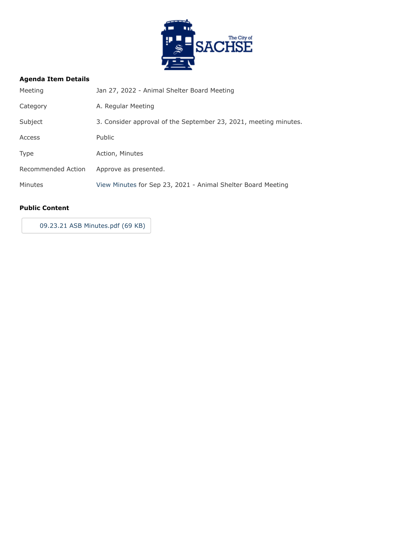

<span id="page-1-0"></span>

| Meeting            | Jan 27, 2022 - Animal Shelter Board Meeting                      |
|--------------------|------------------------------------------------------------------|
| Category           | A. Regular Meeting                                               |
| Subject            | 3. Consider approval of the September 23, 2021, meeting minutes. |
| Access             | <b>Public</b>                                                    |
| <b>Type</b>        | Action, Minutes                                                  |
| Recommended Action | Approve as presented.                                            |
| Minutes            | View Minutes for Sep 23, 2021 - Animal Shelter Board Meeting     |

### **Public Content**

[09.23.21 ASB Minutes.pdf \(69 KB\)](https://go.boarddocs.com/tx/sachse/Board.nsf/files/CAUTNC78296A/$file/09.23.21%20ASB%20Minutes.pdf)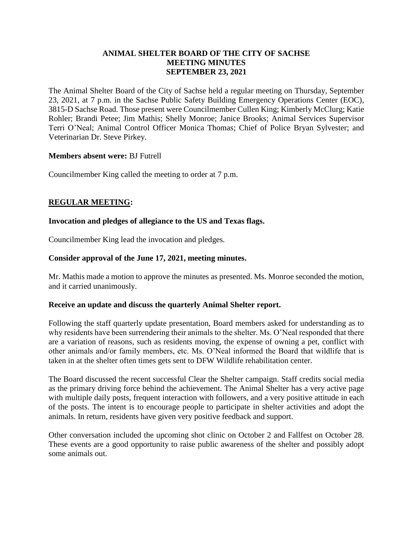## **ANIMAL SHELTER BOARD OF THE CITY OF SACHSE MEETING MINUTES SEPTEMBER 23, 2021**

The Animal Shelter Board of the City of Sachse held a regular meeting on Thursday, September 23, 2021, at 7 p.m. in the Sachse Public Safety Building Emergency Operations Center (EOC), 3815-D Sachse Road. Those present were Councilmember Cullen King; Kimberly McClurg; Katie Rohler; Brandi Petee; Jim Mathis; Shelly Monroe; Janice Brooks; Animal Services Supervisor Terri O'Neal; Animal Control Officer Monica Thomas; Chief of Police Bryan Sylvester; and Veterinarian Dr. Steve Pirkey.

## **Members absent were:** BJ Futrell

Councilmember King called the meeting to order at 7 p.m.

## **REGULAR MEETING:**

## **Invocation and pledges of allegiance to the US and Texas flags.**

Councilmember King lead the invocation and pledges.

## **Consider approval of the June 17, 2021, meeting minutes.**

Mr. Mathis made a motion to approve the minutes as presented. Ms. Monroe seconded the motion, and it carried unanimously.

### **Receive an update and discuss the quarterly Animal Shelter report.**

Following the staff quarterly update presentation, Board members asked for understanding as to why residents have been surrendering their animals to the shelter. Ms. O'Neal responded that there are a variation of reasons, such as residents moving, the expense of owning a pet, conflict with other animals and/or family members, etc. Ms. O'Neal informed the Board that wildlife that is taken in at the shelter often times gets sent to DFW Wildlife rehabilitation center.

The Board discussed the recent successful Clear the Shelter campaign. Staff credits social media as the primary driving force behind the achievement. The Animal Shelter has a very active page with multiple daily posts, frequent interaction with followers, and a very positive attitude in each of the posts. The intent is to encourage people to participate in shelter activities and adopt the animals. In return, residents have given very positive feedback and support.

Other conversation included the upcoming shot clinic on October 2 and Fallfest on October 28. These events are a good opportunity to raise public awareness of the shelter and possibly adopt some animals out.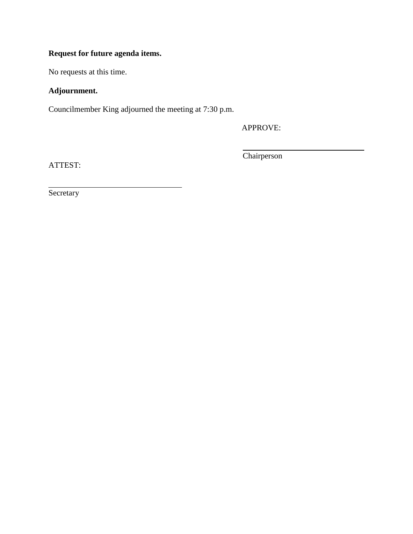# **Request for future agenda items.**

No requests at this time.

# **Adjournment.**

Councilmember King adjourned the meeting at 7:30 p.m.

APPROVE:

ATTEST:

Chairperson

**Secretary**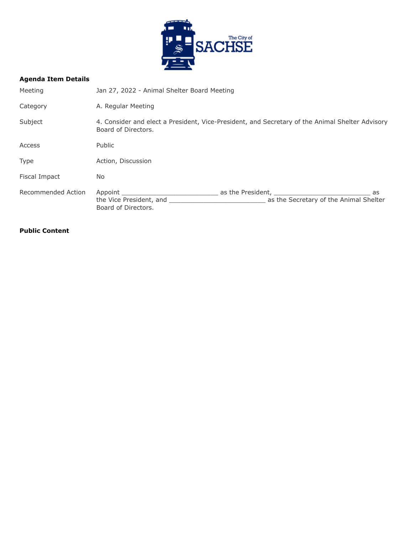

| Meeting            | Jan 27, 2022 - Animal Shelter Board Meeting                                                                            |                                                                   |  |
|--------------------|------------------------------------------------------------------------------------------------------------------------|-------------------------------------------------------------------|--|
| Category           | A. Regular Meeting                                                                                                     |                                                                   |  |
| Subject            | 4. Consider and elect a President, Vice-President, and Secretary of the Animal Shelter Advisory<br>Board of Directors. |                                                                   |  |
| Access             | Public                                                                                                                 |                                                                   |  |
| <b>Type</b>        | Action, Discussion                                                                                                     |                                                                   |  |
| Fiscal Impact      | No.                                                                                                                    |                                                                   |  |
| Recommended Action | Appoint<br>the Vice President, and<br>Board of Directors.                                                              | as the President,<br>as<br>as the Secretary of the Animal Shelter |  |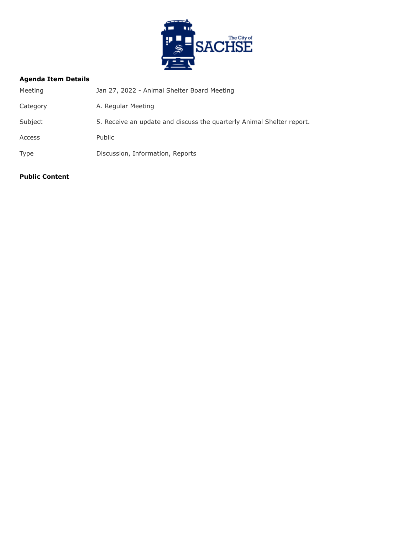

| Meeting     | Jan 27, 2022 - Animal Shelter Board Meeting                           |
|-------------|-----------------------------------------------------------------------|
| Category    | A. Regular Meeting                                                    |
| Subject     | 5. Receive an update and discuss the quarterly Animal Shelter report. |
| Access      | <b>Public</b>                                                         |
| <b>Type</b> | Discussion, Information, Reports                                      |
|             |                                                                       |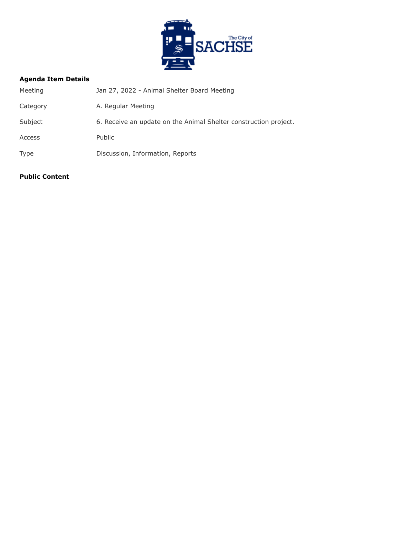

| Meeting     | Jan 27, 2022 - Animal Shelter Board Meeting                      |
|-------------|------------------------------------------------------------------|
| Category    | A. Regular Meeting                                               |
| Subject     | 6. Receive an update on the Animal Shelter construction project. |
| Access      | <b>Public</b>                                                    |
| <b>Type</b> | Discussion, Information, Reports                                 |